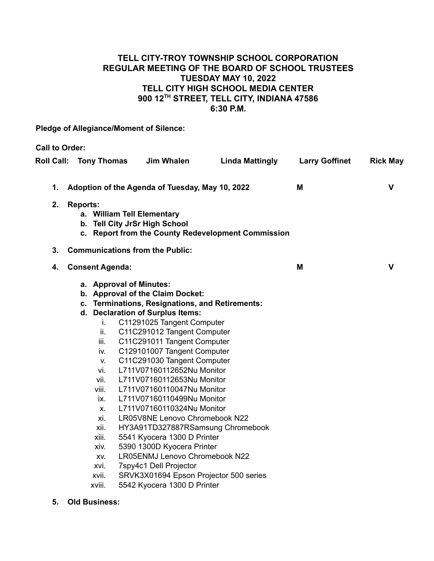## **TELL CITY-TROY TOWNSHIP SCHOOL CORPORATION REGULAR MEETING OF THE BOARD OF SCHOOL TRUSTEES TUESDAY MAY 10, 2022 TELL CITY HIGH SCHOOL MEDIA CENTER 900 12TH STREET, TELL CITY, INDIANA 47586 6:30 P.M.**

**Pledge of Allegiance/Moment of Silence:**

**Call to Order: Roll Call: Tony Thomas Jim Whalen Linda Mattingly Larry Goffinet Rick May 1. Adoption of the Agenda of Tuesday, May 10, 2022 M V 2. Reports: a. William Tell Elementary b. Tell City JrSr High School c. Report from the County Redevelopment Commission 3. Communications from the Public: 4. Consent Agenda: M V a. Approval of Minutes: b. Approval of the Claim Docket: c. Terminations, Resignations, and Retirements: d. Declaration of Surplus Items:** i. C11291025 Tangent Computer ii. C11C291012 Tangent Computer iii. C11C291011 Tangent Computer iv. C129101007 Tangent Computer v. C11C291030 Tangent Computer vi. L711V07160112652Nu Monitor vii. L711V07160112653Nu Monitor viii. L711V07160110047Nu Monitor ix. L711V07160110499Nu Monitor x. L711V07160110324Nu Monitor xi. LR05V8NE Lenovo Chromebook N22 xii. HY3A91TD327887RSamsung Chromebook xiii. 5541 Kyocera 1300 D Printer xiv. 5390 1300D Kyocera Printer xv. LR05ENMJ Lenovo Chromebook N22 xvi. 7spy4c1 Dell Projector xvii. SRVK3X01694 Epson Projector 500 series xviii. 5542 Kyocera 1300 D Printer

**5. Old Business:**